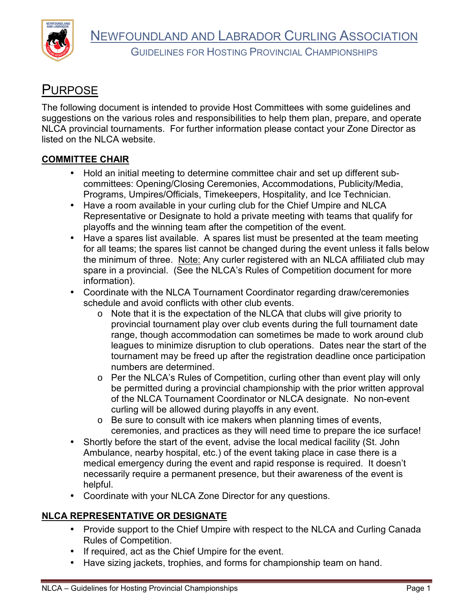



GUIDELINES FOR HOSTING PROVINCIAL CHAMPIONSHIPS

# **PURPOSE**

The following document is intended to provide Host Committees with some guidelines and suggestions on the various roles and responsibilities to help them plan, prepare, and operate NLCA provincial tournaments. For further information please contact your Zone Director as listed on the NLCA website.

#### **COMMITTEE CHAIR**

- Hold an initial meeting to determine committee chair and set up different subcommittees: Opening/Closing Ceremonies, Accommodations, Publicity/Media, Programs, Umpires/Officials, Timekeepers, Hospitality, and Ice Technician.
- Have a room available in your curling club for the Chief Umpire and NLCA Representative or Designate to hold a private meeting with teams that qualify for playoffs and the winning team after the competition of the event.
- Have a spares list available. A spares list must be presented at the team meeting for all teams; the spares list cannot be changed during the event unless it falls below the minimum of three. Note: Any curler registered with an NLCA affiliated club may spare in a provincial. (See the NLCA's Rules of Competition document for more information).
- Coordinate with the NLCA Tournament Coordinator regarding draw/ceremonies schedule and avoid conflicts with other club events.
	- o Note that it is the expectation of the NLCA that clubs will give priority to provincial tournament play over club events during the full tournament date range, though accommodation can sometimes be made to work around club leagues to minimize disruption to club operations. Dates near the start of the tournament may be freed up after the registration deadline once participation numbers are determined.
	- o Per the NLCA's Rules of Competition, curling other than event play will only be permitted during a provincial championship with the prior written approval of the NLCA Tournament Coordinator or NLCA designate. No non-event curling will be allowed during playoffs in any event.
	- o Be sure to consult with ice makers when planning times of events, ceremonies, and practices as they will need time to prepare the ice surface!
- Shortly before the start of the event, advise the local medical facility (St. John Ambulance, nearby hospital, etc.) of the event taking place in case there is a medical emergency during the event and rapid response is required. It doesn't necessarily require a permanent presence, but their awareness of the event is helpful.
- Coordinate with your NLCA Zone Director for any questions.

#### **NLCA REPRESENTATIVE OR DESIGNATE**

- Provide support to the Chief Umpire with respect to the NLCA and Curling Canada Rules of Competition.
- If required, act as the Chief Umpire for the event.
- Have sizing jackets, trophies, and forms for championship team on hand.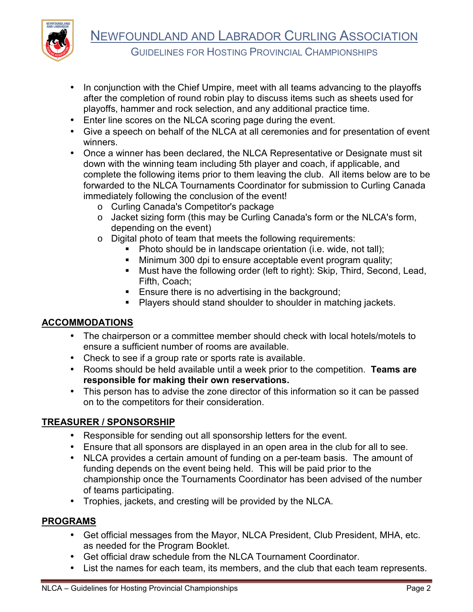

- In conjunction with the Chief Umpire, meet with all teams advancing to the playoffs after the completion of round robin play to discuss items such as sheets used for playoffs, hammer and rock selection, and any additional practice time.
- Enter line scores on the NLCA scoring page during the event.
- Give a speech on behalf of the NLCA at all ceremonies and for presentation of event winners.
- Once a winner has been declared, the NLCA Representative or Designate must sit down with the winning team including 5th player and coach, if applicable, and complete the following items prior to them leaving the club. All items below are to be forwarded to the NLCA Tournaments Coordinator for submission to Curling Canada immediately following the conclusion of the event!
	- o Curling Canada's Competitor's package
	- o Jacket sizing form (this may be Curling Canada's form or the NLCA's form, depending on the event)
	- o Digital photo of team that meets the following requirements:
		- Photo should be in landscape orientation (i.e. wide, not tall);
		- Minimum 300 dpi to ensure acceptable event program quality;
		- Must have the following order (left to right): Skip, Third, Second, Lead, Fifth, Coach;
		- **Ensure there is no advertising in the background;**
		- **Players should stand shoulder to shoulder in matching jackets.**

# **ACCOMMODATIONS**

- The chairperson or a committee member should check with local hotels/motels to ensure a sufficient number of rooms are available.
- Check to see if a group rate or sports rate is available.
- Rooms should be held available until a week prior to the competition. **Teams are responsible for making their own reservations.**
- This person has to advise the zone director of this information so it can be passed on to the competitors for their consideration.

# **TREASURER / SPONSORSHIP**

- Responsible for sending out all sponsorship letters for the event.
- Ensure that all sponsors are displayed in an open area in the club for all to see.
- NLCA provides a certain amount of funding on a per-team basis. The amount of funding depends on the event being held. This will be paid prior to the championship once the Tournaments Coordinator has been advised of the number of teams participating.
- Trophies, jackets, and cresting will be provided by the NLCA.

## **PROGRAMS**

- Get official messages from the Mayor, NLCA President, Club President, MHA, etc. as needed for the Program Booklet.
- Get official draw schedule from the NLCA Tournament Coordinator.
- List the names for each team, its members, and the club that each team represents.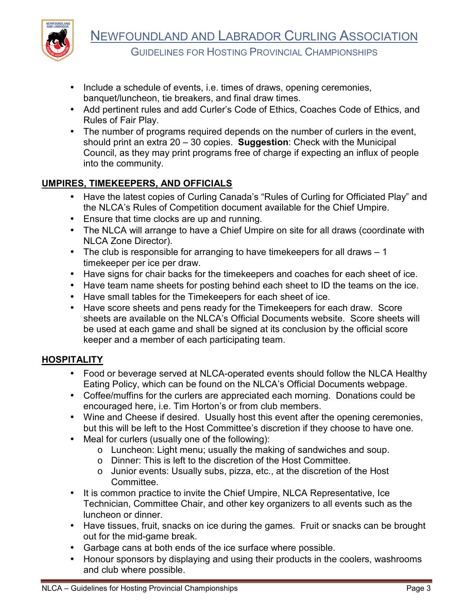

- Include a schedule of events, i.e. times of draws, opening ceremonies, banquet/luncheon, tie breakers, and final draw times.
- Add pertinent rules and add Curler's Code of Ethics, Coaches Code of Ethics, and Rules of Fair Play.
- The number of programs required depends on the number of curlers in the event, should print an extra 20 – 30 copies. **Suggestion**: Check with the Municipal Council, as they may print programs free of charge if expecting an influx of people into the community.

## **UMPIRES, TIMEKEEPERS, AND OFFICIALS**

- Have the latest copies of Curling Canada's "Rules of Curling for Officiated Play" and the NLCA's Rules of Competition document available for the Chief Umpire.
- Ensure that time clocks are up and running.
- The NLCA will arrange to have a Chief Umpire on site for all draws (coordinate with NLCA Zone Director).
- The club is responsible for arranging to have time keepers for all draws  $-1$ timekeeper per ice per draw.
- Have signs for chair backs for the timekeepers and coaches for each sheet of ice.
- Have team name sheets for posting behind each sheet to ID the teams on the ice.
- Have small tables for the Timekeepers for each sheet of ice.
- Have score sheets and pens ready for the Timekeepers for each draw. Score sheets are available on the NLCA's Official Documents website. Score sheets will be used at each game and shall be signed at its conclusion by the official score keeper and a member of each participating team.

## **HOSPITALITY**

- Food or beverage served at NLCA-operated events should follow the NLCA Healthy Eating Policy, which can be found on the NLCA's Official Documents webpage.
- Coffee/muffins for the curlers are appreciated each morning. Donations could be encouraged here, i.e. Tim Horton's or from club members.
- Wine and Cheese if desired. Usually host this event after the opening ceremonies, but this will be left to the Host Committee's discretion if they choose to have one.
- Meal for curlers (usually one of the following):
	- o Luncheon: Light menu; usually the making of sandwiches and soup.
	- o Dinner: This is left to the discretion of the Host Committee.
	- o Junior events: Usually subs, pizza, etc., at the discretion of the Host Committee.
- It is common practice to invite the Chief Umpire, NLCA Representative, Ice Technician, Committee Chair, and other key organizers to all events such as the luncheon or dinner.
- Have tissues, fruit, snacks on ice during the games. Fruit or snacks can be brought out for the mid-game break.
- Garbage cans at both ends of the ice surface where possible.
- Honour sponsors by displaying and using their products in the coolers, washrooms and club where possible.